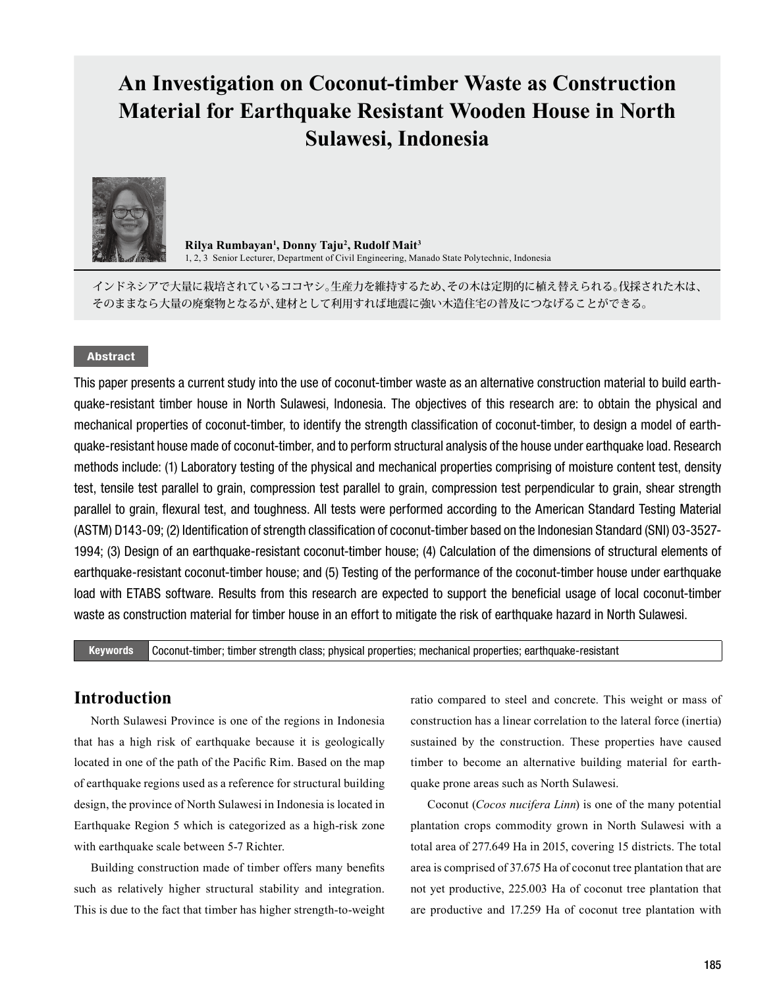# **An Investigation on Coconut-timber Waste as Construction Material for Earthquake Resistant Wooden House in North Sulawesi, Indonesia**



**Rilya Rumbayan<sup>1</sup> , Donny Taju<sup>2</sup> , Rudolf Mait<sup>3</sup>** 1, 2, 3 Senior Lecturer, Department of Civil Engineering, Manado State Polytechnic, Indonesia

インドネシアで大量に栽培されているココヤシ。生産力を維持するため、その木は定期的に植え替えられる。伐採された木は、 そのままなら大量の廃棄物となるが、建材として利用すれば地震に強い木造住宅の普及につなげることができる。

#### Abstract

This paper presents a current study into the use of coconut-timber waste as an alternative construction material to build earthquake-resistant timber house in North Sulawesi, Indonesia. The objectives of this research are: to obtain the physical and mechanical properties of coconut-timber, to identify the strength classification of coconut-timber, to design a model of earthquake-resistant house made of coconut-timber, and to perform structural analysis of the house under earthquake load. Research methods include: (1) Laboratory testing of the physical and mechanical properties comprising of moisture content test, density test, tensile test parallel to grain, compression test parallel to grain, compression test perpendicular to grain, shear strength parallel to grain, flexural test, and toughness. All tests were performed according to the American Standard Testing Material (ASTM) D143-09; (2) Identification of strength classification of coconut-timber based on the Indonesian Standard (SNI) 03-3527- 1994; (3) Design of an earthquake-resistant coconut-timber house; (4) Calculation of the dimensions of structural elements of earthquake-resistant coconut-timber house; and (5) Testing of the performance of the coconut-timber house under earthquake load with ETABS software. Results from this research are expected to support the beneficial usage of local coconut-timber waste as construction material for timber house in an effort to mitigate the risk of earthquake hazard in North Sulawesi.

Keywords Coconut-timber; timber strength class; physical properties; mechanical properties; earthquake-resistant

### **Introduction**

North Sulawesi Province is one of the regions in Indonesia that has a high risk of earthquake because it is geologically located in one of the path of the Pacific Rim. Based on the map of earthquake regions used as a reference for structural building design, the province of North Sulawesi in Indonesia is located in Earthquake Region 5 which is categorized as a high-risk zone with earthquake scale between 5-7 Richter.

Building construction made of timber offers many benefits such as relatively higher structural stability and integration. This is due to the fact that timber has higher strength-to-weight ratio compared to steel and concrete. This weight or mass of construction has a linear correlation to the lateral force (inertia) sustained by the construction. These properties have caused timber to become an alternative building material for earthquake prone areas such as North Sulawesi.

Coconut (*Cocos nucifera Linn*) is one of the many potential plantation crops commodity grown in North Sulawesi with a total area of 277.649 Ha in 2015, covering 15 districts. The total area is comprised of 37.675 Ha of coconut tree plantation that are not yet productive, 225.003 Ha of coconut tree plantation that are productive and 17.259 Ha of coconut tree plantation with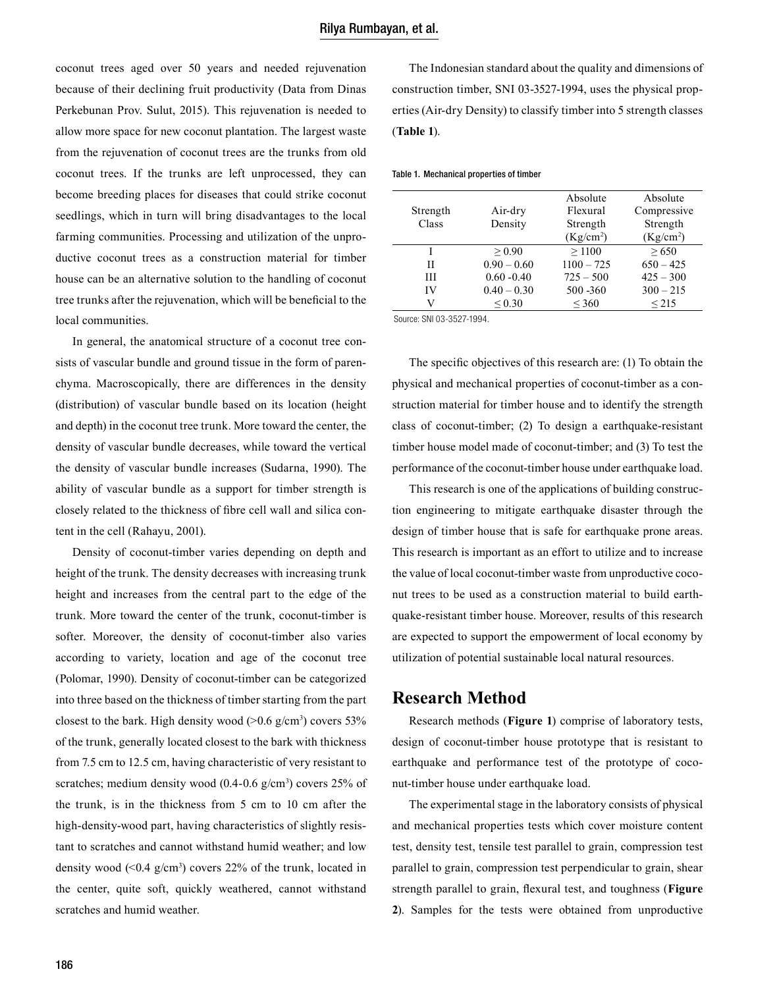coconut trees aged over 50 years and needed rejuvenation because of their declining fruit productivity (Data from Dinas Perkebunan Prov. Sulut, 2015). This rejuvenation is needed to allow more space for new coconut plantation. The largest waste from the rejuvenation of coconut trees are the trunks from old coconut trees. If the trunks are left unprocessed, they can become breeding places for diseases that could strike coconut seedlings, which in turn will bring disadvantages to the local farming communities. Processing and utilization of the unproductive coconut trees as a construction material for timber house can be an alternative solution to the handling of coconut tree trunks after the rejuvenation, which will be beneficial to the local communities.

In general, the anatomical structure of a coconut tree consists of vascular bundle and ground tissue in the form of parenchyma. Macroscopically, there are differences in the density (distribution) of vascular bundle based on its location (height and depth) in the coconut tree trunk. More toward the center, the density of vascular bundle decreases, while toward the vertical the density of vascular bundle increases (Sudarna, 1990). The ability of vascular bundle as a support for timber strength is closely related to the thickness of fibre cell wall and silica content in the cell (Rahayu, 2001).

Density of coconut-timber varies depending on depth and height of the trunk. The density decreases with increasing trunk height and increases from the central part to the edge of the trunk. More toward the center of the trunk, coconut-timber is softer. Moreover, the density of coconut-timber also varies according to variety, location and age of the coconut tree (Polomar, 1990). Density of coconut-timber can be categorized into three based on the thickness of timber starting from the part closest to the bark. High density wood  $(>0.6 \text{ g/cm}^3)$  covers 53% of the trunk, generally located closest to the bark with thickness from 7.5 cm to 12.5 cm, having characteristic of very resistant to scratches; medium density wood  $(0.4\n-0.6 \text{ g/cm}^3)$  covers 25% of the trunk, is in the thickness from 5 cm to 10 cm after the high-density-wood part, having characteristics of slightly resistant to scratches and cannot withstand humid weather; and low density wood  $($  <0.4 g/cm<sup>3</sup> $)$  covers 22% of the trunk, located in the center, quite soft, quickly weathered, cannot withstand scratches and humid weather.

The Indonesian standard about the quality and dimensions of construction timber, SNI 03-3527-1994, uses the physical properties (Air-dry Density) to classify timber into 5 strength classes (**Table 1**).

#### Table 1. Mechanical properties of timber

| Strength | Air-dry       | Absolute<br>Flexural  | Absolute<br>Compressive |
|----------|---------------|-----------------------|-------------------------|
|          |               |                       |                         |
| Class    | Density       | Strength              | Strength                |
|          |               | (Kg/cm <sup>2</sup> ) | (Kg/cm <sup>2</sup> )   |
|          | > 0.90        | >1100                 | > 650                   |
| Н        | $0.90 - 0.60$ | $1100 - 725$          | $650 - 425$             |
| Ш        | $0.60 - 0.40$ | $725 - 500$           | $425 - 300$             |
| IV       | $0.40 - 0.30$ | 500 - 360             | $300 - 215$             |
| V        | $\leq 0.30$   | $\leq 360$            | ${}_{\leq 215}$         |
|          |               |                       |                         |

Source: SNI 03-3527-1994.

The specific objectives of this research are: (1) To obtain the physical and mechanical properties of coconut-timber as a construction material for timber house and to identify the strength class of coconut-timber; (2) To design a earthquake-resistant timber house model made of coconut-timber; and (3) To test the performance of the coconut-timber house under earthquake load.

This research is one of the applications of building construction engineering to mitigate earthquake disaster through the design of timber house that is safe for earthquake prone areas. This research is important as an effort to utilize and to increase the value of local coconut-timber waste from unproductive coconut trees to be used as a construction material to build earthquake-resistant timber house. Moreover, results of this research are expected to support the empowerment of local economy by utilization of potential sustainable local natural resources.

#### **Research Method**

Research methods (**Figure 1**) comprise of laboratory tests, design of coconut-timber house prototype that is resistant to earthquake and performance test of the prototype of coconut-timber house under earthquake load.

The experimental stage in the laboratory consists of physical and mechanical properties tests which cover moisture content test, density test, tensile test parallel to grain, compression test parallel to grain, compression test perpendicular to grain, shear strength parallel to grain, flexural test, and toughness (**Figure 2**). Samples for the tests were obtained from unproductive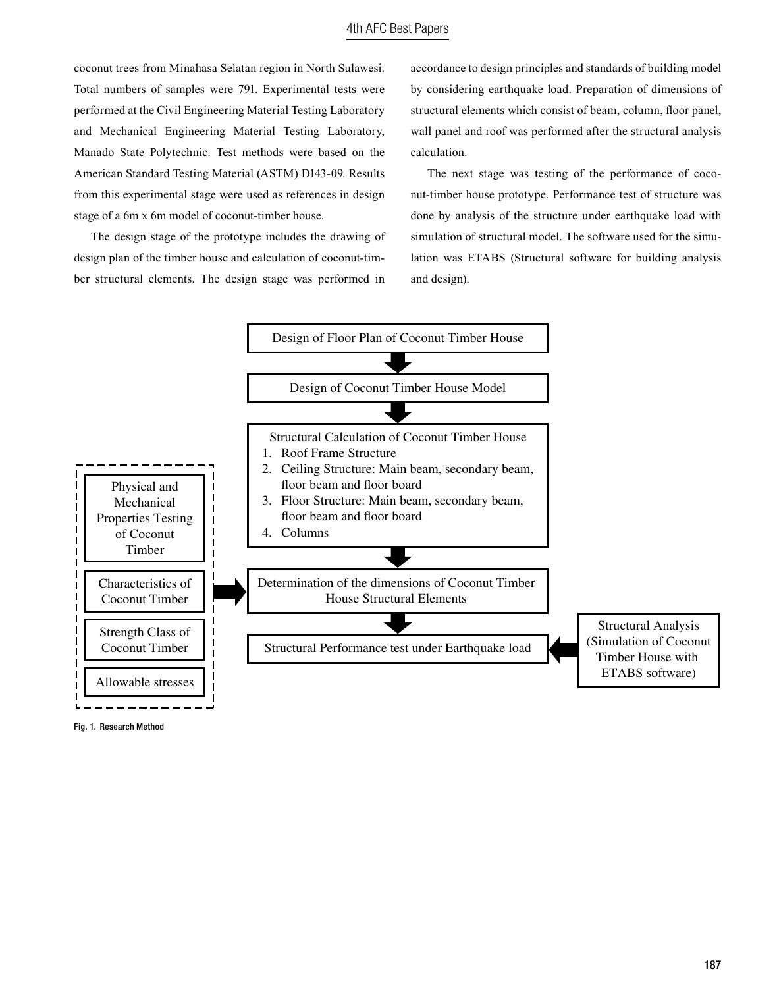coconut trees from Minahasa Selatan region in North Sulawesi. Total numbers of samples were 791. Experimental tests were performed at the Civil Engineering Material Testing Laboratory and Mechanical Engineering Material Testing Laboratory, Manado State Polytechnic. Test methods were based on the American Standard Testing Material (ASTM) D143-09. Results from this experimental stage were used as references in design stage of a 6m x 6m model of coconut-timber house.

The design stage of the prototype includes the drawing of design plan of the timber house and calculation of coconut-timber structural elements. The design stage was performed in

accordance to design principles and standards of building model by considering earthquake load. Preparation of dimensions of structural elements which consist of beam, column, floor panel, wall panel and roof was performed after the structural analysis calculation.

The next stage was testing of the performance of coconut-timber house prototype. Performance test of structure was done by analysis of the structure under earthquake load with simulation of structural model. The software used for the simulation was ETABS (Structural software for building analysis and design).



Fig. 1. Research Method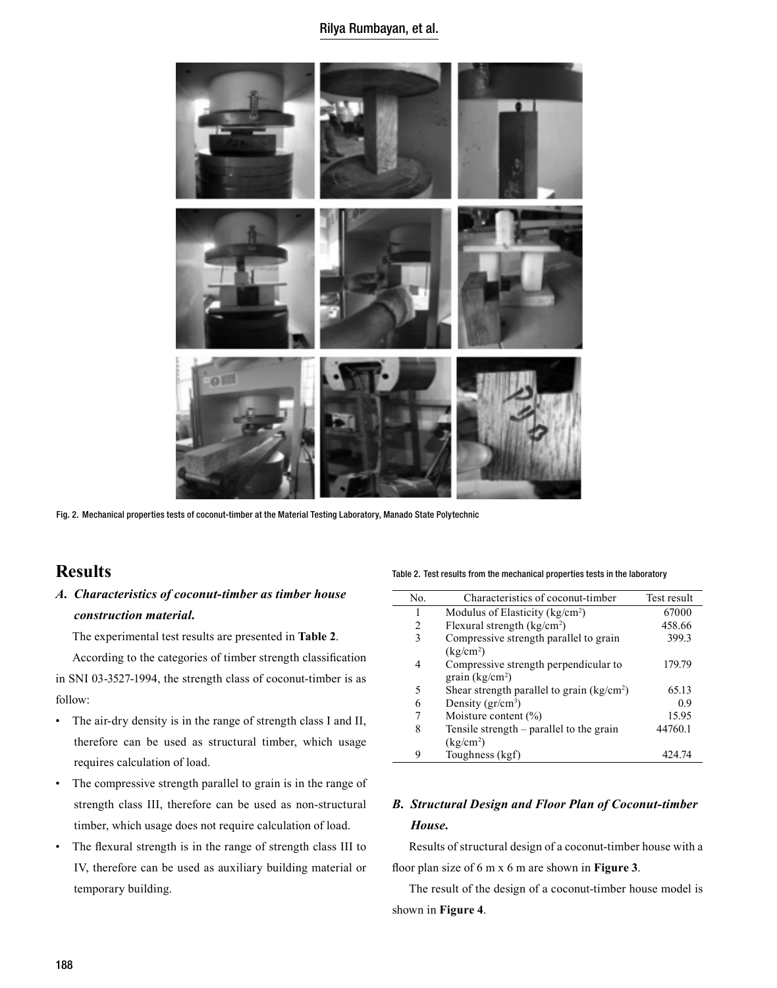#### Rilya Rumbayan, et al.



Fig. 2. Mechanical properties tests of coconut-timber at the Material Testing Laboratory, Manado State Polytechnic

# **Results**

### *A. Characteristics of coconut-timber as timber house construction material.*

The experimental test results are presented in **Table 2**.

According to the categories of timber strength classification in SNI 03-3527-1994, the strength class of coconut-timber is as follow:

- The air-dry density is in the range of strength class I and II, therefore can be used as structural timber, which usage requires calculation of load.
- The compressive strength parallel to grain is in the range of strength class III, therefore can be used as non-structural timber, which usage does not require calculation of load.
- The flexural strength is in the range of strength class III to IV, therefore can be used as auxiliary building material or temporary building.

Table 2. Test results from the mechanical properties tests in the laboratory

| No.            | Characteristics of coconut-timber           | Test result |
|----------------|---------------------------------------------|-------------|
| 1              | Modulus of Elasticity ( $kg/cm2$ )          | 67000       |
| $\overline{c}$ | Flexural strength $\frac{kg}{cm^2}$         | 458.66      |
| 3              | Compressive strength parallel to grain      | 399.3       |
|                | (kg/cm <sup>2</sup> )                       |             |
| 4              | Compressive strength perpendicular to       | 179.79      |
|                | grain $(kg/cm2)$                            |             |
| 5              | Shear strength parallel to grain $(kg/cm2)$ | 65.13       |
| 6              | Density $(\text{gr/cm}^3)$                  | 0.9         |
| 7              | Moisture content $(\% )$                    | 15.95       |
| 8              | Tensile strength – parallel to the grain    | 44760.1     |
|                | (kg/cm <sup>2</sup> )                       |             |
| 9              | Toughness (kgf)                             | 424.74      |

### *B. Structural Design and Floor Plan of Coconut-timber House.*

Results of structural design of a coconut-timber house with a floor plan size of 6 m x 6 m are shown in **Figure 3**.

The result of the design of a coconut-timber house model is shown in **Figure 4**.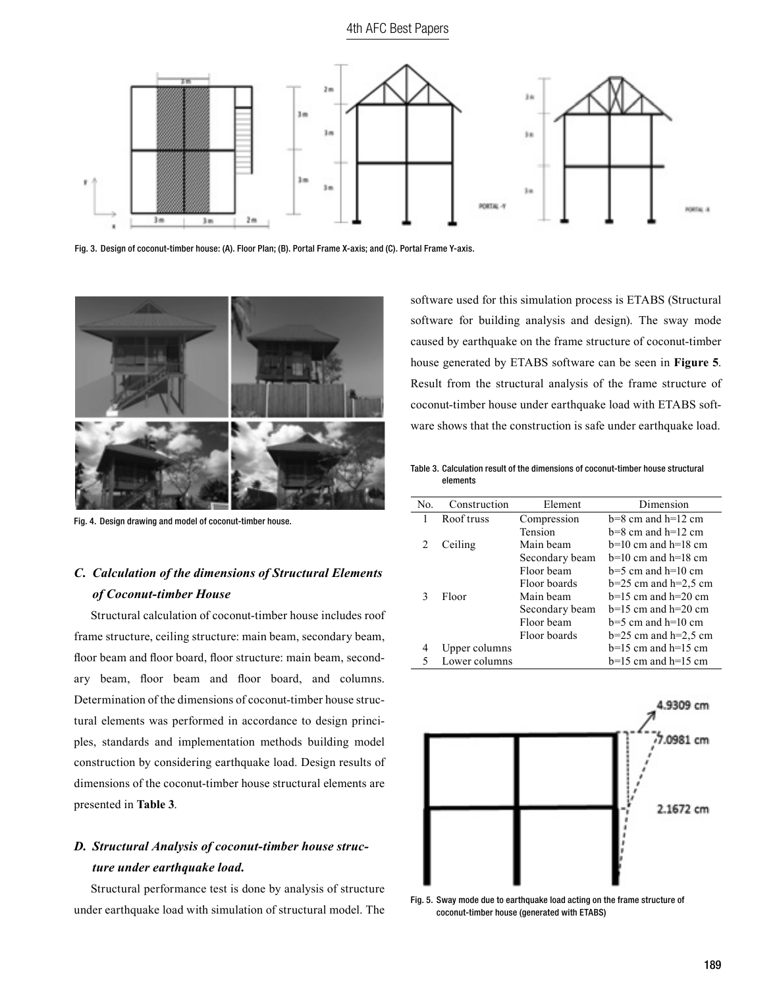#### 4th AFC Best Papers



Fig. 3. Design of coconut-timber house: (A). Floor Plan; (B). Portal Frame X-axis; and (C). Portal Frame Y-axis.



Fig. 4. Design drawing and model of coconut-timber house.

# *C. Calculation of the dimensions of Structural Elements of Coconut-timber House*

Structural calculation of coconut-timber house includes roof frame structure, ceiling structure: main beam, secondary beam, floor beam and floor board, floor structure: main beam, secondary beam, floor beam and floor board, and columns. Determination of the dimensions of coconut-timber house structural elements was performed in accordance to design principles, standards and implementation methods building model construction by considering earthquake load. Design results of dimensions of the coconut-timber house structural elements are presented in **Table 3**.

#### *D. Structural Analysis of coconut-timber house structure under earthquake load.*

Structural performance test is done by analysis of structure under earthquake load with simulation of structural model. The software used for this simulation process is ETABS (Structural software for building analysis and design). The sway mode caused by earthquake on the frame structure of coconut-timber house generated by ETABS software can be seen in **Figure 5**. Result from the structural analysis of the frame structure of coconut-timber house under earthquake load with ETABS software shows that the construction is safe under earthquake load.

Table 3. Calculation result of the dimensions of coconut-timber house structural elements

| No.          | Construction  | Element        | Dimension                |
|--------------|---------------|----------------|--------------------------|
|              | Roof truss    | Compression    | $b=8$ cm and $h=12$ cm   |
|              |               | <b>Tension</b> | $b=8$ cm and $h=12$ cm   |
| 2            | Ceiling       | Main beam      | $b=10$ cm and $h=18$ cm  |
|              |               | Secondary beam | $b=10$ cm and $h=18$ cm  |
|              |               | Floor beam     | $b=5$ cm and $h=10$ cm   |
|              |               | Floor boards   | $b=25$ cm and $h=2.5$ cm |
| $\mathbf{R}$ | Floor         | Main beam      | $h=15$ cm and $h=20$ cm  |
|              |               | Secondary beam | $h=15$ cm and $h=20$ cm  |
|              |               | Floor beam     | $b=5$ cm and $h=10$ cm   |
|              |               | Floor boards   | $b=25$ cm and $h=2.5$ cm |
| 4            | Upper columns |                | $b=15$ cm and $h=15$ cm  |
|              | Lower columns |                | $b=15$ cm and $h=15$ cm  |



coconut-timber house (generated with ETABS)